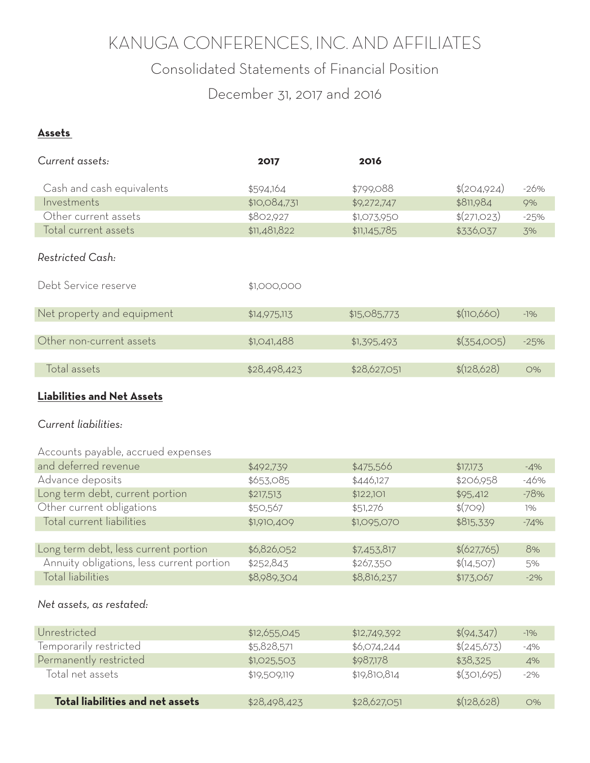## KANUGA CONFERENCES, INC. AND AFFILIATES

### Consolidated Statements of Financial Position

December 31, 2017 and 2016

#### **Assets**

| Current assets:                    | 2017         | 2016         |             |        |
|------------------------------------|--------------|--------------|-------------|--------|
| Cash and cash equivalents          | \$594,164    | \$799,088    | \$(204,924) | $-26%$ |
| Investments                        | \$10,084,731 | \$9,272,747  | \$811,984   | 9%     |
| Other current assets               | \$802,927    | \$1,073,950  | \$(271,023) | $-25%$ |
| Total current assets               | \$11,481,822 | \$11,145,785 | \$336,037   |        |
|                                    |              |              |             | 3%     |
| Restricted Cash:                   |              |              |             |        |
| Debt Service reserve               | \$1,000,000  |              |             |        |
| Net property and equipment         | \$14,975,113 | \$15,085,773 | \$(110,660) | $-1%$  |
|                                    |              |              |             |        |
| Other non-current assets           | \$1,041,488  | \$1,395,493  | \$(354,005) | $-25%$ |
|                                    |              |              |             |        |
| Total assets                       | \$28,498,423 | \$28,627,051 | \$(128,628) | O%     |
| <b>Liabilities and Net Assets</b>  |              |              |             |        |
|                                    |              |              |             |        |
| Current liabilities:               |              |              |             |        |
|                                    |              |              |             |        |
| Accounts payable, accrued expenses |              |              |             |        |
| and deferred revenue               | \$492,739    | \$475,566    | \$17,173    | $-4%$  |
| Advance deposits                   | \$653,085    | \$446,127    | \$206,958   | $-46%$ |
| Long term debt, current portion    | \$217,513    | \$122,101    | \$95,412    | $-78%$ |
| Other current obligations          | \$50,567     | \$51,276     | \$(709)     | $1\%$  |
| Total current liabilities          | \$1,910,409  | \$1,095,070  | \$815,339   | $-74%$ |
|                                    |              |              |             |        |

| Long term debt, less current portion      | \$6,826,052 | \$7,453,817 | $\$(627,765)$ | 8%     |
|-------------------------------------------|-------------|-------------|---------------|--------|
| Annuity obligations, less current portion | \$252,843   | \$267,350   | \$(14,507)    | .5%    |
| Total liabilities                         | \$8,989,304 | \$8,816,237 | \$173.067     | $-2\%$ |

#### *Net assets, as restated:*

| Unrestricted                     | \$12,655,045 | \$12,749,392 | $\$(94,347)$  | $-1\%$ |
|----------------------------------|--------------|--------------|---------------|--------|
| Temporarily restricted           | \$5,828,571  | \$6,074,244  | $\$(245,673)$ | $-4%$  |
| Permanently restricted           | \$1,025,503  | \$987,178    | \$38,325      | 4%     |
| Total net assets                 | \$19,509,119 | \$19,810,814 | \$(301,695)   | $-2%$  |
| Total liabilities and net assets | \$28,498,423 | \$28,627,051 | \$(128,628)   | O%     |